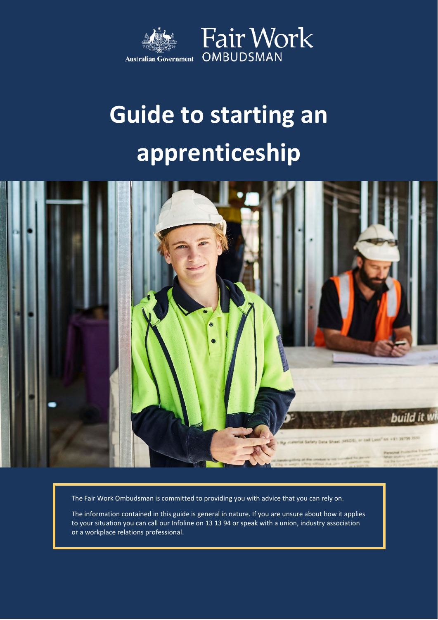

# **Guide to starting an apprenticeship**



The Fair Work Ombudsman is committed to providing you with advice that you can rely on.

The information contained in this guide is general in nature. If you are unsure about how it applies to your situation you can call our Infoline on 13 13 94 or speak with a union, industry association or a workplace relations professional.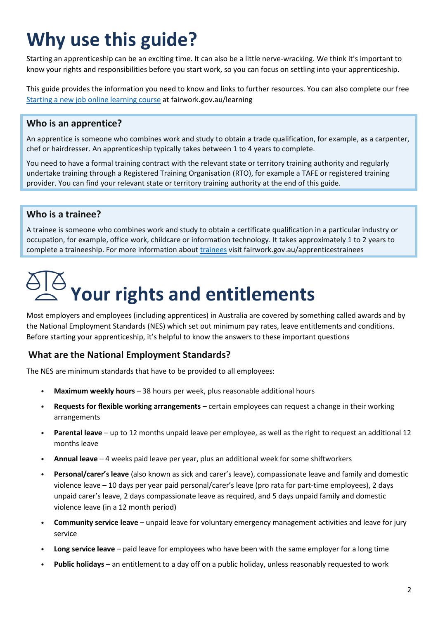# **Why use this guide?**

Starting an apprenticeship can be an exciting time. It can also be a little nerve-wracking. We think it's important to know your rights and responsibilities before you start work, so you can focus on settling into your apprenticeship.

This guide provides the information you need to know and links to further resources. You can also complete our free Starting a new job online [learning](http://www.fairwork.gov.au/learning) course at fairwork.gov.au/learning

### **Who is an apprentice?**

An apprentice is someone who combines work and study to obtain a trade qualification, for example, as a carpenter, chef or hairdresser. An apprenticeship typically takes between 1 to 4 years to complete.

You need to have a formal training contract with the relevant state or territory training authority and regularly undertake training through a Registered Training Organisation (RTO), for example a TAFE or registered training provider. You can find your relevant state or territory training authority at the end of this guide.

#### **Who is a trainee?**

A trainee is someone who combines work and study to obtain a certificate qualification in a particular industry or occupation, for example, office work, childcare or information technology. It takes approximately 1 to 2 years to complete a traineeship. For more information about [trainees](http://www.fairwork.gov.au/apprenticestrainees) visit fairwork.gov.au/apprenticestrainees

# **Your rights and entitlements**

Most employers and employees (including apprentices) in Australia are covered by something called awards and by the National Employment Standards (NES) which set out minimum pay rates, leave entitlements and conditions. Before starting your apprenticeship, it's helpful to know the answers to these important questions

### **What are the National Employment Standards?**

The NES are minimum standards that have to be provided to all employees:

- **Maximum weekly hours** 38 hours per week, plus reasonable additional hours
- **Requests for flexible working arrangements** certain employees can request a change in their working arrangements
- **Parental leave** up to 12 months unpaid leave per employee, as well as the right to request an additional 12 months leave
- **Annual leave** 4 weeks paid leave per year, plus an additional week for some shiftworkers
- **Personal/carer's leave** (also known as sick and carer's leave), compassionate leave and family and domestic violence leave – 10 days per year paid personal/carer's leave (pro rata for part-time employees), 2 days unpaid carer's leave, 2 days compassionate leave as required, and 5 days unpaid family and domestic violence leave (in a 12 month period)
- **Community service leave** unpaid leave for voluntary emergency management activities and leave for jury service
- **Long service leave** paid leave for employees who have been with the same employer for a long time
- **Public holidays** an entitlement to a day off on a public holiday, unless reasonably requested to work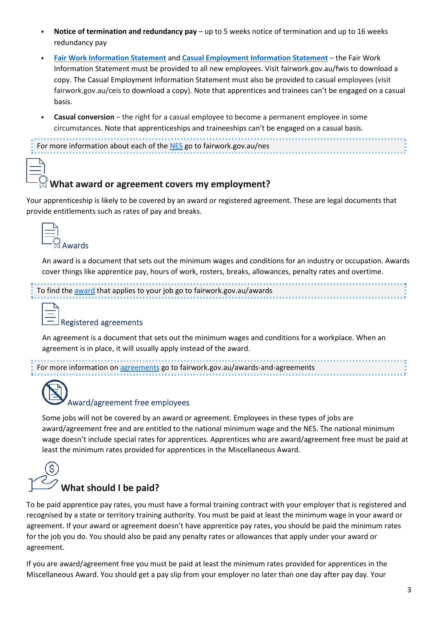- **Notice of termination and redundancy pay** up to 5 weeks notice of termination and up to 16 weeks redundancy pay
- **Fair Work [Information](http://www.fairwork.gov.au/fwis) Statement** and **Casual [Employment](http://www.fairwork.gov.au/ceis) Information Statement** the Fair Work Information Statement must be provided to all new employees. Visit fairwork.gov.au/fwis to download a copy. The Casual Employment Information Statement must also be provided to casual employees (visit fairwork.gov.au/ceis to download a copy). Note that apprentices and trainees can't be engaged on a casual basis.
- **Casual conversion** the right for a casual employee to become a permanent employee in some circumstances. Note that apprenticeships and traineeships can't be engaged on a casual basis.

```
For more information about each of the NES go to fairwork.gov.au/nes
```
### **What award or agreement covers my employment?**

Your apprenticeship is likely to be covered by an award or registered agreement. These are legal documents that provide entitlements such as rates of pay and breaks.

| <b>Awards</b> |
|---------------|

An award is a document that sets out the minimum wages and conditions for an industry or occupation. Awards cover things like apprentice pay, hours of work, rosters, breaks, allowances, penalty rates and overtime.

```
To find the award that applies to your job go to fairwork.gov.au/awards
```
#### Registered agreements

An agreement is a document that sets out the minimum wages and conditions for a workplace. When an agreement is in place, it will usually apply instead of the award.

For more information on [agreements](http://www.fairwork.gov.au/awards-and-agreements) go to fairwork.gov.au/awards-and-agreements



#### Award/agreement free employees

Some jobs will not be covered by an award or agreement. Employees in these types of jobs are award/agreement free and are entitled to the national minimum wage and the NES. The national minimum wage doesn't include special rates for apprentices. Apprentices who are award/agreement free must be paid at least the minimum rates provided for apprentices in the Miscellaneous Award.

# **What should I be paid?**

To be paid apprentice pay rates, you must have a formal training contract with your employer that is registered and recognised by a state or territory training authority. You must be paid at least the minimum wage in your award or agreement. If your award or agreement doesn't have apprentice pay rates, you should be paid the minimum rates for the job you do. You should also be paid any penalty rates or allowances that apply under your award or agreement.

If you are award/agreement free you must be paid at least the minimum rates provided for apprentices in the Miscellaneous Award. You should get a pay slip from your employer no later than one day after pay day. Your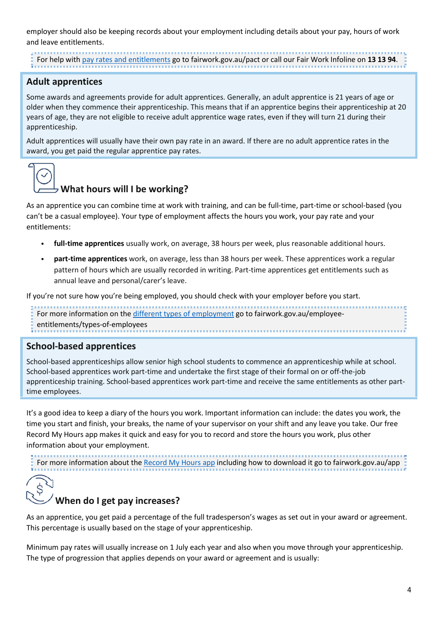employer should also be keeping records about your employment including details about your pay, hours of work and leave entitlements.

For help with pay rates and [entitlements](http://www.fairwork.gov.au/pact) go to fairwork.gov.au/pact or call our Fair Work Infoline on **13 13 94**.

### **Adult apprentices**

Some awards and agreements provide for adult apprentices. Generally, an adult apprentice is 21 years of age or older when they commence their apprenticeship. This means that if an apprentice begins their apprenticeship at 20 years of age, they are not eligible to receive adult apprentice wage rates, even if they will turn 21 during their apprenticeship.

Adult apprentices will usually have their own pay rate in an award. If there are no adult apprentice rates in the award, you get paid the regular apprentice pay rates.



### **What hours will I be working?**

As an apprentice you can combine time at work with training, and can be full-time, part-time or school-based (you can't be a casual employee). Your type of employment affects the hours you work, your pay rate and your entitlements:

- **full-time apprentices** usually work, on average, 38 hours per week, plus reasonable additional hours.
- **part-time apprentices** work, on average, less than 38 hours per week. These apprentices work a regular pattern of hours which are usually recorded in writing. Part-time apprentices get entitlements such as annual leave and personal/carer's leave.

If you're not sure how you're being employed, you should check with your employer before you start.

For more information on the [different types of employment](http://www.fairwork.gov.au/employee-entitlements/types-of-employees) go to fairwork.gov.au/employee-

entitlements/types-of-employees

#### **School-based apprentices**

School-based apprenticeships allow senior high school students to commence an apprenticeship while at school. School-based apprentices work part-time and undertake the first stage of their formal on or off-the-job apprenticeship training. School-based apprentices work part-time and receive the same entitlements as other parttime employees.

It's a good idea to keep a diary of the hours you work. Important information can include: the dates you work, the time you start and finish, your breaks, the name of your supervisor on your shift and any leave you take. Our free Record My Hours app makes it quick and easy for you to record and store the hours you work, plus other information about your employment.

For more information about the [Record](http://www.fairwork.gov.au/app) My Hours app including how to download it go to fairwork.gov.au/app

## **When do I get pay increases?**

As an apprentice, you get paid a percentage of the full tradesperson's wages as set out in your award or agreement. This percentage is usually based on the stage of your apprenticeship.

Minimum pay rates will usually increase on 1 July each year and also when you move through your apprenticeship. The type of progression that applies depends on your award or agreement and is usually: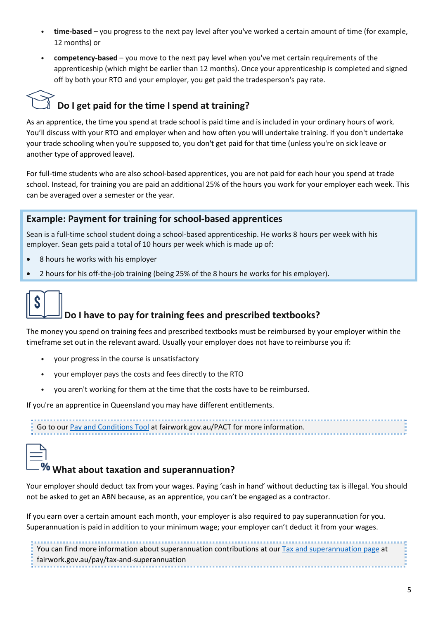- **time-based** you progress to the next pay level after you've worked a certain amount of time (for example, 12 months) or
- **competency-based** you move to the next pay level when you've met certain requirements of the apprenticeship (which might be earlier than 12 months). Once your apprenticeship is completed and signed off by both your RTO and your employer, you get paid the tradesperson's pay rate.

# **Do I get paid for the time I spend at training?**

As an apprentice, the time you spend at trade school is paid time and is included in your ordinary hours of work. You'll discuss with your RTO and employer when and how often you will undertake training. If you don't undertake your trade schooling when you're supposed to, you don't get paid for that time (unless you're on sick leave or another type of approved leave).

For full-time students who are also school-based apprentices, you are not paid for each hour you spend at trade school. Instead, for training you are paid an additional 25% of the hours you work for your employer each week. This can be averaged over a semester or the year.

### **Example: Payment for training for school-based apprentices**

Sean is a full-time school student doing a school-based apprenticeship. He works 8 hours per week with his employer. Sean gets paid a total of 10 hours per week which is made up of:

- 8 hours he works with his employer
- 2 hours for his off-the-job training (being 25% of the 8 hours he works for his employer).



## **Do I have to pay for training fees and prescribed textbooks?**

The money you spend on training fees and prescribed textbooks must be reimbursed by your employer within the timeframe set out in the relevant award. Usually your employer does not have to reimburse you if:

- your progress in the course is unsatisfactory
- your employer pays the costs and fees directly to the RTO
- you aren't working for them at the time that the costs have to be reimbursed.

If you're an apprentice in Queensland you may have different entitlements.

| Go to our Pay and Conditions Tool at fairwork.gov.au/PACT for more information. |  |  |  |  |  |  |  |  |  |  |  |  |  |  |  |  |  |  |  |  |  |  |  |  |  |  |  |
|---------------------------------------------------------------------------------|--|--|--|--|--|--|--|--|--|--|--|--|--|--|--|--|--|--|--|--|--|--|--|--|--|--|--|
|                                                                                 |  |  |  |  |  |  |  |  |  |  |  |  |  |  |  |  |  |  |  |  |  |  |  |  |  |  |  |



## **What about taxation and superannuation?**

Your employer should deduct tax from your wages. Paying 'cash in hand' without deducting tax is illegal. You should not be asked to get an ABN because, as an apprentice, you can't be engaged as a contractor.

If you earn over a certain amount each month, your employer is also required to pay superannuation for you. Superannuation is paid in addition to your minimum wage; your employer can't deduct it from your wages.

You can find more information about superannuation contributions at our [Tax and superannuation page](http://www.fairwork.gov.au/pay/tax-and-superannuation) at fairwork.gov.au/pay/tax-and-superannuation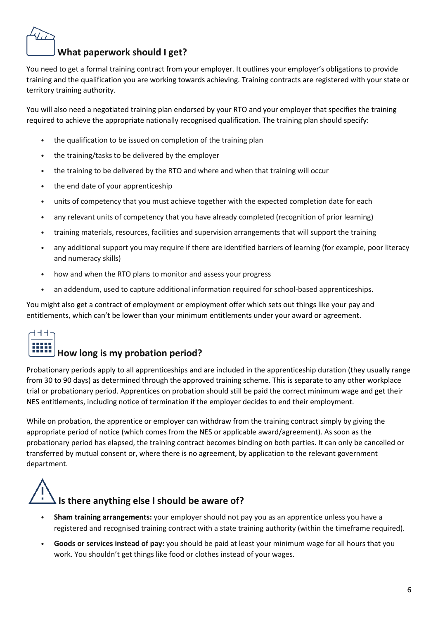## **What paperwork should I get?**

You need to get a formal training contract from your employer. It outlines your employer's obligations to provide training and the qualification you are working towards achieving. Training contracts are registered with your state or territory training authority.

You will also need a negotiated training plan endorsed by your RTO and your employer that specifies the training required to achieve the appropriate nationally recognised qualification. The training plan should specify:

- the qualification to be issued on completion of the training plan
- the training/tasks to be delivered by the employer
- the training to be delivered by the RTO and where and when that training will occur
- the end date of your apprenticeship
- units of competency that you must achieve together with the expected completion date for each
- any relevant units of competency that you have already completed (recognition of prior learning)
- training materials, resources, facilities and supervision arrangements that will support the training
- any additional support you may require if there are identified barriers of learning (for example, poor literacy and numeracy skills)
- how and when the RTO plans to monitor and assess your progress
- an addendum, used to capture additional information required for school-based apprenticeships.

You might also get a contract of employment or employment offer which sets out things like your pay and entitlements, which can't be lower than your minimum entitlements under your award or agreement.

# トトト

## **How long is my probation period?**

Probationary periods apply to all apprenticeships and are included in the apprenticeship duration (they usually range from 30 to 90 days) as determined through the approved training scheme. This is separate to any other workplace trial or probationary period. Apprentices on probation should still be paid the correct minimum wage and get their NES entitlements, including notice of termination if the employer decides to end their employment.

While on probation, the apprentice or employer can withdraw from the training contract simply by giving the appropriate period of notice (which comes from the NES or applicable award/agreement). As soon as the probationary period has elapsed, the training contract becomes binding on both parties. It can only be cancelled or transferred by mutual consent or, where there is no agreement, by application to the relevant government department.



- **Sham training arrangements:** your employer should not pay you as an apprentice unless you have a registered and recognised training contract with a state training authority (within the timeframe required).
- **Goods or services instead of pay:** you should be paid at least your minimum wage for all hours that you work. You shouldn't get things like food or clothes instead of your wages.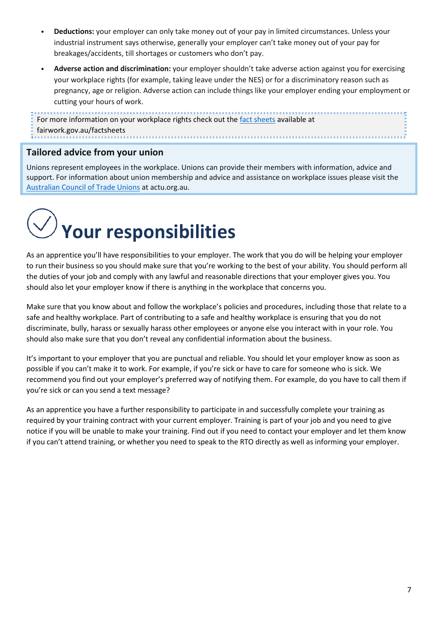- **Deductions:** your employer can only take money out of your pay in limited circumstances. Unless your industrial instrument says otherwise, generally your employer can't take money out of your pay for breakages/accidents, till shortages or customers who don't pay.
- **Adverse action and discrimination:** your employer shouldn't take adverse action against you for exercising your workplace rights (for example, taking leave under the NES) or for a discriminatory reason such as pregnancy, age or religion. Adverse action can include things like your employer ending your employment or cutting your hours of work.

For more information on your workplace rights check out the [fact sheets](http://www.fairwork.gov.au/factsheets) available at fairwork.gov.au/factsheets ,,,,,,,,,,,,,,,,,,,,,,,,,,,,,,,,,,,,,,

### **Tailored advice from your union**

Unions represent employees in the workplace. Unions can provide their members with information, advice and support. For information about union membership and advice and assistance on workplace issues please visit the [Australian](http://www.actu.org.au/) Council of Trade Unions at actu.org.au.



As an apprentice you'll have responsibilities to your employer. The work that you do will be helping your employer to run their business so you should make sure that you're working to the best of your ability. You should perform all the duties of your job and comply with any lawful and reasonable directions that your employer gives you. You should also let your employer know if there is anything in the workplace that concerns you.

Make sure that you know about and follow the workplace's policies and procedures, including those that relate to a safe and healthy workplace. Part of contributing to a safe and healthy workplace is ensuring that you do not discriminate, bully, harass or sexually harass other employees or anyone else you interact with in your role. You should also make sure that you don't reveal any confidential information about the business.

It's important to your employer that you are punctual and reliable. You should let your employer know as soon as possible if you can't make it to work. For example, if you're sick or have to care for someone who is sick. We recommend you find out your employer's preferred way of notifying them. For example, do you have to call them if you're sick or can you send a text message?

As an apprentice you have a further responsibility to participate in and successfully complete your training as required by your training contract with your current employer. Training is part of your job and you need to give notice if you will be unable to make your training. Find out if you need to contact your employer and let them know if you can't attend training, or whether you need to speak to the RTO directly as well as informing your employer.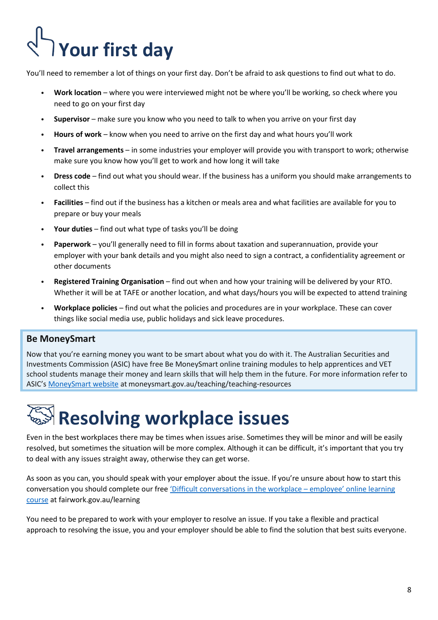# **Your first day**

You'll need to remember a lot of things on your first day. Don't be afraid to ask questions to find out what to do.

- **Work location** where you were interviewed might not be where you'll be working, so check where you need to go on your first day
- **Supervisor** make sure you know who you need to talk to when you arrive on your first day
- **Hours of work** know when you need to arrive on the first day and what hours you'll work
- **Travel arrangements** in some industries your employer will provide you with transport to work; otherwise make sure you know how you'll get to work and how long it will take
- **Dress code** find out what you should wear. If the business has a uniform you should make arrangements to collect this
- **Facilities** find out if the business has a kitchen or meals area and what facilities are available for you to prepare or buy your meals
- **Your duties** find out what type of tasks you'll be doing
- **Paperwork** you'll generally need to fill in forms about taxation and superannuation, provide your employer with your bank details and you might also need to sign a contract, a confidentiality agreement or other documents
- **Registered Training Organisation** find out when and how your training will be delivered by your RTO. Whether it will be at TAFE or another location, and what days/hours you will be expected to attend training
- **Workplace policies** find out what the policies and procedures are in your workplace. These can cover things like social media use, public holidays and sick leave procedures.

### **Be MoneySmart**

Now that you're earning money you want to be smart about what you do with it. The Australian Securities and Investments Commission (ASIC) have free Be MoneySmart online training modules to help apprentices and VET school students manage their money and learn skills that will help them in the future. For more information refer to ASIC's [MoneySmart](http://www.moneysmart.gov.au/teaching/teaching-resources) website at moneysmart.gov.au/teaching/teaching-resources

# **Resolving workplace issues**

Even in the best workplaces there may be times when issues arise. Sometimes they will be minor and will be easily resolved, but sometimes the situation will be more complex. Although it can be difficult, it's important that you try to deal with any issues straight away, otherwise they can get worse.

As soon as you can, you should speak with your employer about the issue. If you're unsure about how to start this conversation you should complete our free ['Difficult conversations in](http://www.fairwork.gov.au/learning) the workplace – employee' online learning [course](http://www.fairwork.gov.au/learning) at [fairwork.gov.au/learning](http://www.fairwork.gov.au/learning)

You need to be prepared to work with your employer to resolve an issue. If you take a flexible and practical approach to resolving the issue, you and your employer should be able to find the solution that best suits everyone.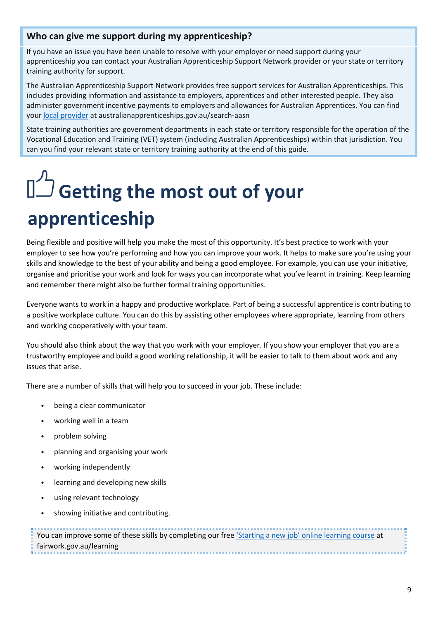### **Who can give me support during my apprenticeship?**

If you have an issue you have been unable to resolve with your employer or need support during your apprenticeship you can contact your Australian Apprenticeship Support Network provider or your state or territory training authority for support.

The Australian Apprenticeship Support Network provides free support services for Australian Apprenticeships. This includes providing information and assistance to employers, apprentices and other interested people. They also administer government incentive payments to employers and allowances for Australian Apprentices. You can find your [local provider](http://www.australianapprenticeships.gov.au/search-aasn) at australianapprenticeships.gov.au/search-aasn

State training authorities are government departments in each state or territory responsible for the operation of the Vocational Education and Training (VET) system (including Australian Apprenticeships) within that jurisdiction. You can you find your relevant state or territory training authority at the end of this guide.

# **Getting the most out of your apprenticeship**

Being flexible and positive will help you make the most of this opportunity. It's best practice to work with your employer to see how you're performing and how you can improve your work. It helps to make sure you're using your skills and knowledge to the best of your ability and being a good employee. For example, you can use your initiative, organise and prioritise your work and look for ways you can incorporate what you've learnt in training. Keep learning and remember there might also be further formal training opportunities.

Everyone wants to work in a happy and productive workplace. Part of being a successful apprentice is contributing to a positive workplace culture. You can do this by assisting other employees where appropriate, learning from others and working cooperatively with your team.

You should also think about the way that you work with your employer. If you show your employer that you are a trustworthy employee and build a good working relationship, it will be easier to talk to them about work and any issues that arise.

There are a number of skills that will help you to succeed in your job. These include:

- being a clear communicator
- working well in a team
- problem solving
- planning and organising your work
- working independently
- learning and developing new skills
- using relevant technology
- showing initiative and contributing.

| You can improve some of these skills by completing our free 'Starting a new job' online learning course at |  |
|------------------------------------------------------------------------------------------------------------|--|
| fairwork.gov.au/learning                                                                                   |  |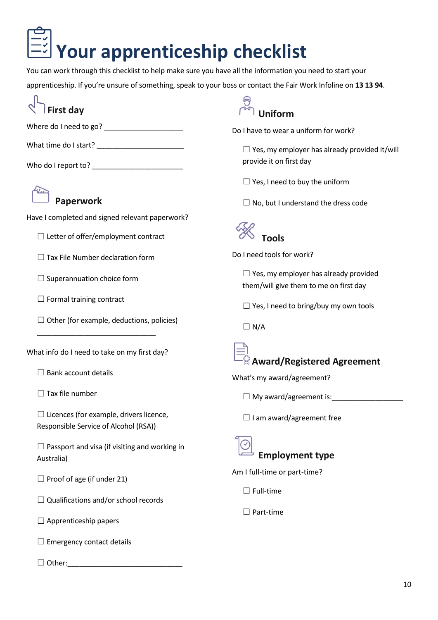# **Your apprenticeship checklist**

You can work through this checklist to help make sure you have all the information you need to start your

apprenticeship. If you're unsure of something, speak to your boss or contact the Fair Work Infoline on **13 13 94**.

# **First day**

Where do I need to go? \_\_\_\_\_\_\_\_\_\_\_\_\_\_\_\_\_\_\_\_

What time do I start? \_\_\_\_\_\_\_\_\_\_\_\_\_\_\_\_\_\_\_\_\_\_

Who do I report to? \_\_\_\_\_\_\_\_\_\_\_\_\_\_\_\_\_\_\_\_\_\_\_



## **Paperwork**

Have I completed and signed relevant paperwork?

 $\Box$  Letter of offer/employment contract

 $\Box$  Tax File Number declaration form

□ Superannuation choice form

 $\Box$  Formal training contract

 $\Box$  Other (for example, deductions, policies)

What info do I need to take on my first day?

\_\_\_\_\_\_\_\_\_\_\_\_\_\_\_\_\_\_\_\_\_\_\_\_\_\_\_\_\_\_

 $\Box$  Bank account details

 $\Box$  Tax file number

 $\Box$  Licences (for example, drivers licence, Responsible Service of Alcohol (RSA))

 $\Box$  Passport and visa (if visiting and working in Australia)

□ Proof of age (if under 21)

 $\Box$  Qualifications and/or school records

 $\Box$  Apprenticeship papers

 $\Box$  Emergency contact details

☐ Other: \_\_\_\_\_\_\_\_\_\_\_\_\_\_\_\_\_\_\_\_\_\_\_\_\_\_\_\_\_



Do I have to wear a uniform for work?

 $\Box$  Yes, my employer has already provided it/will provide it on first day

 $\Box$  Yes, I need to buy the uniform

 $\Box$  No, but I understand the dress code



Do I need tools for work?

 $\Box$  Yes, my employer has already provided them/will give them to me on first day

 $\Box$  Yes, I need to bring/buy my own tools

 $\Box$  N/A

# **Award/Registered Agreement**

What's my award/agreement?

☐ My award/agreement is:\_ \_\_\_\_\_\_\_\_\_\_\_\_\_\_\_\_\_

□ I am award/agreement free



**Employment type**

Am I full-time or part-time?

 $\Box$  Full-time

☐ Part-time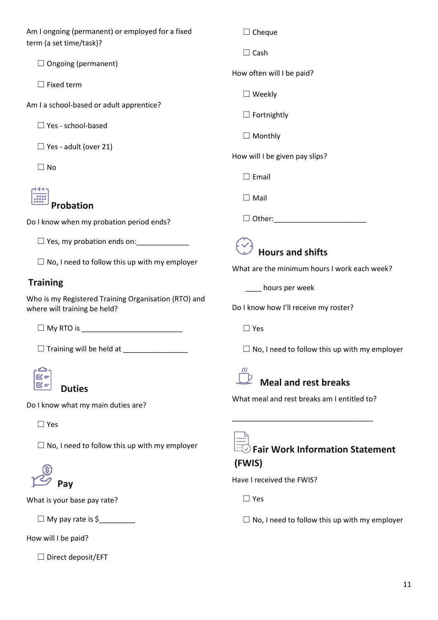Am I ongoing (permanent) or employed for a fixed term (a set time/task)?

 $\Box$  Ongoing (permanent)

 $\Box$  Fixed term

Am I a school-based or adult apprentice?

☐ Yes - school-based

□ Yes - adult (over 21)

 $\Box$  No

## 444 **Probation**

Do I know when my probation period ends?

□ Yes, my probation ends on: \_\_\_\_\_\_\_\_\_\_\_\_\_\_

 $\Box$  No, I need to follow this up with my employer

### **Training**

Who is my Registered Training Organisation (RTO) and where will training be held?

☐ My RTO is \_\_\_\_\_\_\_\_\_\_\_\_\_\_\_\_\_\_\_\_\_\_\_\_\_

☐ Training will be held at \_\_\_\_\_\_\_\_\_\_\_\_\_\_\_\_



**Duties**

Do I know what my main duties are?

☐ Yes

 $\Box$  No, I need to follow this up with my employer



What is your base pay rate?

 $\Box$  My pay rate is \$

How will I be paid?

☐ Direct deposit/EFT

☐ Cheque

☐ Cash

How often will I be paid?

☐ Weekly

 $\Box$  Fortnightly

□ Monthly

How will I be given pay slips?

☐ Email

☐ Mail

☐ Other: \_\_\_\_\_\_\_\_\_\_\_\_\_\_\_\_\_\_\_\_\_\_\_

# **Hours and shifts**

What are the minimum hours I work each week?

\_\_\_\_ hours per week

Do I know how I'll receive my roster?

☐ Yes

 $\Box$  No, I need to follow this up with my employer



# **Meal and rest breaks**

What meal and rest breaks am I entitled to?

\_\_\_\_\_\_\_\_\_\_\_\_\_\_\_\_\_\_\_\_\_\_\_\_\_\_\_\_\_\_\_\_\_\_\_



### **Fair Work Information Statement (FWIS)**

Have I received the FWIS?

☐ Yes

 $\Box$  No, I need to follow this up with my employer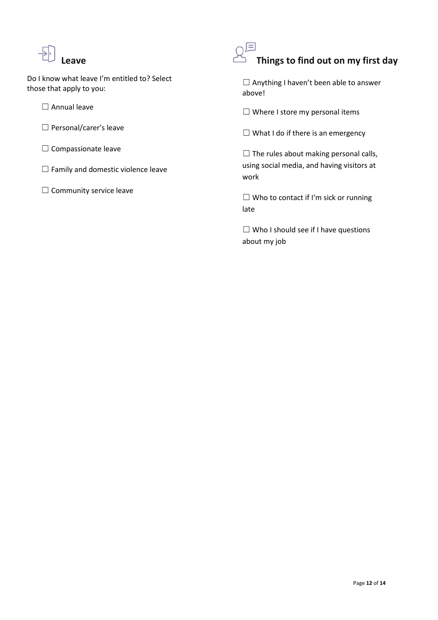

Do I know what leave I'm entitled to? Select those that apply to you:

☐ Annual leave

- □ Personal/carer's leave
- □ Compassionate leave
- ☐ Family and domestic violence leave
- □ Community service leave



# **Things to find out on my first day**

☐ Anything I haven't been able to answer above!

 $\Box$  Where I store my personal items

 $\Box$  What I do if there is an emergency

 $\Box$  The rules about making personal calls, using social media, and having visitors at work

☐ Who to contact if I'm sick or running late

 $\Box$  Who I should see if I have questions about my job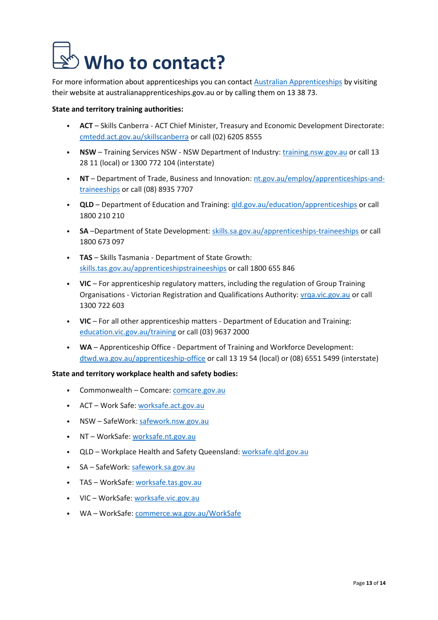# **Who to contact?**

For more information about apprenticeships you can contact Australian [Apprenticeships](http://www.australianapprenticeships.gov.au/) by visiting their website at australianapprenticeships.gov.au or by calling them on 13 38 73.

#### **State and territory training authorities:**

- **ACT** Skills Canberra ACT Chief Minister, Treasury and Economic Development Directorate: [cmtedd.act.gov.au/skillscanberra](http://www.cmtedd.act.gov.au/skillscanberra) or call (02) 6205 8555
- **NSW** Training Services NSW NSW Department of Industry: [training.nsw.gov.au](http://www.training.nsw.gov.au/) or call 13 28 11 (local) or 1300 772 104 (interstate)
- **NT** Department of Trade, Business and Innovation: [nt.gov.au/employ/apprenticeships-and](https://nt.gov.au/employ/apprenticeships-and-traineeships)[traineeships or call \(08\) 8935 7707](https://nt.gov.au/employ/apprenticeships-and-traineeships)
- **QLD** Department of Education and Training: [qld.gov.au/education/apprenticeships](http://www.qld.gov.au/education/apprenticeships) or call 1800 210 210
- **SA** –Department of State Development: [skills.sa.gov.au/apprenticeships-traineeships](http://www.skills.sa.gov.au/apprenticeships-traineeships) or call 1800 673 097
- **TAS** Skills Tasmania Department of State Growth: [skills.tas.gov.au/apprenticeshipstraineeships](http://www.skills.tas.gov.au/apprenticeshipstraineeships) or call 1800 655 846
- **VIC** For apprenticeship regulatory matters, including the regulation of Group Training Organisations - Victorian Registration and Qualifications Authority: [vrqa.vic.gov.au](http://www.vrqa.vic.gov.au/) or call 1300 722 603
- **VIC** For all other apprenticeship matters Department of Education and Training: [education.vic.gov.au/training](http://www.education.vic.gov.au/training) or call (03) 9637 2000
- **WA** Apprenticeship Office Department of Training and Workforce Development: [dtwd.wa.gov.au/apprenticeship-office](http://www.dtwd.wa.gov.au/apprenticeship-office) or call 13 19 54 (local) or (08) 6551 5499 (interstate)

#### **State and territory workplace health and safety bodies:**

- Commonwealth Comcare: [comcare.gov.au](http://www.comcare.gov.au/)
- ACT Work Safe: [worksafe.act.gov.au](http://www.worksafe.act.gov.au/)
- NSW SafeWork: [safework.nsw.gov.au](http://www.safework.nsw.gov.au/)
- NT WorkSafe: [worksafe.nt.gov.au](http://www.worksafe.nt.gov.au/)
- QLD Workplace Health and Safety Queensland: [worksafe.qld.gov.au](http://www.worksafe.qld.gov.au/)
- SA SafeWork: [safework.sa.gov.au](http://www.safework.sa.gov.au/)
- TAS WorkSafe: [worksafe.tas.gov.au](http://www.worksafe.tas.gov.au/)
- VIC WorkSafe: [worksafe.vic.gov.au](http://www.worksafe.vic.gov.au/)
- WA WorkSafe: [commerce.wa.gov.au/WorkSafe](http://www.commerce.wa.gov.au/WorkSafe)